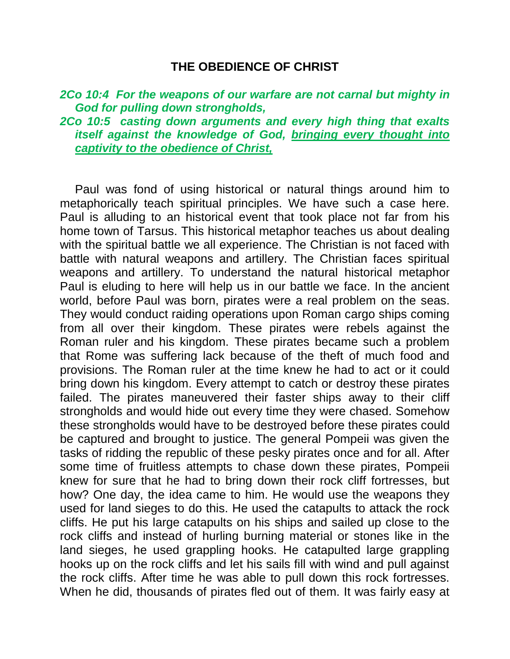### **THE OBEDIENCE OF CHRIST**

### *2Co 10:4 For the weapons of our warfare are not carnal but mighty in God for pulling down strongholds,*

*2Co 10:5 casting down arguments and every high thing that exalts itself against the knowledge of God, bringing every thought into captivity to the obedience of Christ,* 

Paul was fond of using historical or natural things around him to metaphorically teach spiritual principles. We have such a case here. Paul is alluding to an historical event that took place not far from his home town of Tarsus. This historical metaphor teaches us about dealing with the spiritual battle we all experience. The Christian is not faced with battle with natural weapons and artillery. The Christian faces spiritual weapons and artillery. To understand the natural historical metaphor Paul is eluding to here will help us in our battle we face. In the ancient world, before Paul was born, pirates were a real problem on the seas. They would conduct raiding operations upon Roman cargo ships coming from all over their kingdom. These pirates were rebels against the Roman ruler and his kingdom. These pirates became such a problem that Rome was suffering lack because of the theft of much food and provisions. The Roman ruler at the time knew he had to act or it could bring down his kingdom. Every attempt to catch or destroy these pirates failed. The pirates maneuvered their faster ships away to their cliff strongholds and would hide out every time they were chased. Somehow these strongholds would have to be destroyed before these pirates could be captured and brought to justice. The general Pompeii was given the tasks of ridding the republic of these pesky pirates once and for all. After some time of fruitless attempts to chase down these pirates, Pompeii knew for sure that he had to bring down their rock cliff fortresses, but how? One day, the idea came to him. He would use the weapons they used for land sieges to do this. He used the catapults to attack the rock cliffs. He put his large catapults on his ships and sailed up close to the rock cliffs and instead of hurling burning material or stones like in the land sieges, he used grappling hooks. He catapulted large grappling hooks up on the rock cliffs and let his sails fill with wind and pull against the rock cliffs. After time he was able to pull down this rock fortresses. When he did, thousands of pirates fled out of them. It was fairly easy at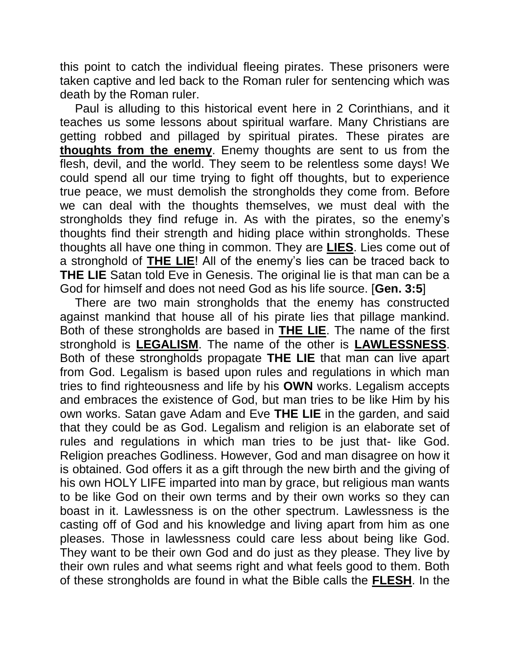this point to catch the individual fleeing pirates. These prisoners were taken captive and led back to the Roman ruler for sentencing which was death by the Roman ruler.

Paul is alluding to this historical event here in 2 Corinthians, and it teaches us some lessons about spiritual warfare. Many Christians are getting robbed and pillaged by spiritual pirates. These pirates are **thoughts from the enemy**. Enemy thoughts are sent to us from the flesh, devil, and the world. They seem to be relentless some days! We could spend all our time trying to fight off thoughts, but to experience true peace, we must demolish the strongholds they come from. Before we can deal with the thoughts themselves, we must deal with the strongholds they find refuge in. As with the pirates, so the enemy's thoughts find their strength and hiding place within strongholds. These thoughts all have one thing in common. They are **LIES**. Lies come out of a stronghold of **THE LIE**! All of the enemy's lies can be traced back to **THE LIE** Satan told Eve in Genesis. The original lie is that man can be a God for himself and does not need God as his life source. [**Gen. 3:5**]

There are two main strongholds that the enemy has constructed against mankind that house all of his pirate lies that pillage mankind. Both of these strongholds are based in **THE LIE**. The name of the first stronghold is **LEGALISM**. The name of the other is **LAWLESSNESS**. Both of these strongholds propagate **THE LIE** that man can live apart from God. Legalism is based upon rules and regulations in which man tries to find righteousness and life by his **OWN** works. Legalism accepts and embraces the existence of God, but man tries to be like Him by his own works. Satan gave Adam and Eve **THE LIE** in the garden, and said that they could be as God. Legalism and religion is an elaborate set of rules and regulations in which man tries to be just that- like God. Religion preaches Godliness. However, God and man disagree on how it is obtained. God offers it as a gift through the new birth and the giving of his own HOLY LIFE imparted into man by grace, but religious man wants to be like God on their own terms and by their own works so they can boast in it. Lawlessness is on the other spectrum. Lawlessness is the casting off of God and his knowledge and living apart from him as one pleases. Those in lawlessness could care less about being like God. They want to be their own God and do just as they please. They live by their own rules and what seems right and what feels good to them. Both of these strongholds are found in what the Bible calls the **FLESH**. In the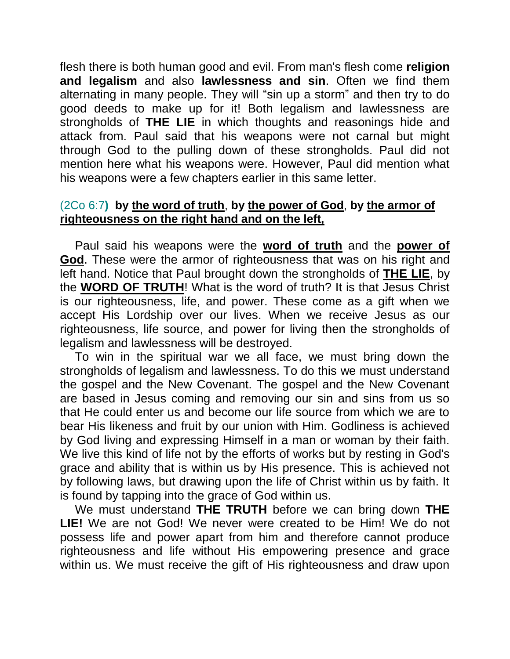flesh there is both human good and evil. From man's flesh come **religion and legalism** and also **lawlessness and sin**. Often we find them alternating in many people. They will "sin up a storm" and then try to do good deeds to make up for it! Both legalism and lawlessness are strongholds of **THE LIE** in which thoughts and reasonings hide and attack from. Paul said that his weapons were not carnal but might through God to the pulling down of these strongholds. Paul did not mention here what his weapons were. However, Paul did mention what his weapons were a few chapters earlier in this same letter.

## (2Co 6:7**) by the word of truth**, **by the power of God**, **by the armor of righteousness on the right hand and on the left,**

Paul said his weapons were the **word of truth** and the **power of God**. These were the armor of righteousness that was on his right and left hand. Notice that Paul brought down the strongholds of **THE LIE**, by the **WORD OF TRUTH**! What is the word of truth? It is that Jesus Christ is our righteousness, life, and power. These come as a gift when we accept His Lordship over our lives. When we receive Jesus as our righteousness, life source, and power for living then the strongholds of legalism and lawlessness will be destroyed.

To win in the spiritual war we all face, we must bring down the strongholds of legalism and lawlessness. To do this we must understand the gospel and the New Covenant. The gospel and the New Covenant are based in Jesus coming and removing our sin and sins from us so that He could enter us and become our life source from which we are to bear His likeness and fruit by our union with Him. Godliness is achieved by God living and expressing Himself in a man or woman by their faith. We live this kind of life not by the efforts of works but by resting in God's grace and ability that is within us by His presence. This is achieved not by following laws, but drawing upon the life of Christ within us by faith. It is found by tapping into the grace of God within us.

We must understand **THE TRUTH** before we can bring down **THE LIE!** We are not God! We never were created to be Him! We do not possess life and power apart from him and therefore cannot produce righteousness and life without His empowering presence and grace within us. We must receive the gift of His righteousness and draw upon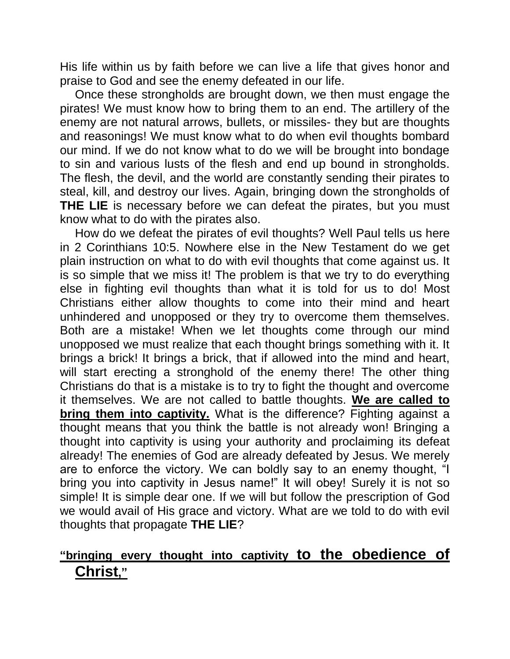His life within us by faith before we can live a life that gives honor and praise to God and see the enemy defeated in our life.

Once these strongholds are brought down, we then must engage the pirates! We must know how to bring them to an end. The artillery of the enemy are not natural arrows, bullets, or missiles- they but are thoughts and reasonings! We must know what to do when evil thoughts bombard our mind. If we do not know what to do we will be brought into bondage to sin and various lusts of the flesh and end up bound in strongholds. The flesh, the devil, and the world are constantly sending their pirates to steal, kill, and destroy our lives. Again, bringing down the strongholds of **THE LIE** is necessary before we can defeat the pirates, but you must know what to do with the pirates also.

How do we defeat the pirates of evil thoughts? Well Paul tells us here in 2 Corinthians 10:5. Nowhere else in the New Testament do we get plain instruction on what to do with evil thoughts that come against us. It is so simple that we miss it! The problem is that we try to do everything else in fighting evil thoughts than what it is told for us to do! Most Christians either allow thoughts to come into their mind and heart unhindered and unopposed or they try to overcome them themselves. Both are a mistake! When we let thoughts come through our mind unopposed we must realize that each thought brings something with it. It brings a brick! It brings a brick, that if allowed into the mind and heart, will start erecting a stronghold of the enemy there! The other thing Christians do that is a mistake is to try to fight the thought and overcome it themselves. We are not called to battle thoughts. **We are called to bring them into captivity.** What is the difference? Fighting against a thought means that you think the battle is not already won! Bringing a thought into captivity is using your authority and proclaiming its defeat already! The enemies of God are already defeated by Jesus. We merely are to enforce the victory. We can boldly say to an enemy thought, "I bring you into captivity in Jesus name!" It will obey! Surely it is not so simple! It is simple dear one. If we will but follow the prescription of God we would avail of His grace and victory. What are we told to do with evil thoughts that propagate **THE LIE**?

# **"bringing every thought into captivity to the obedience of Christ,"**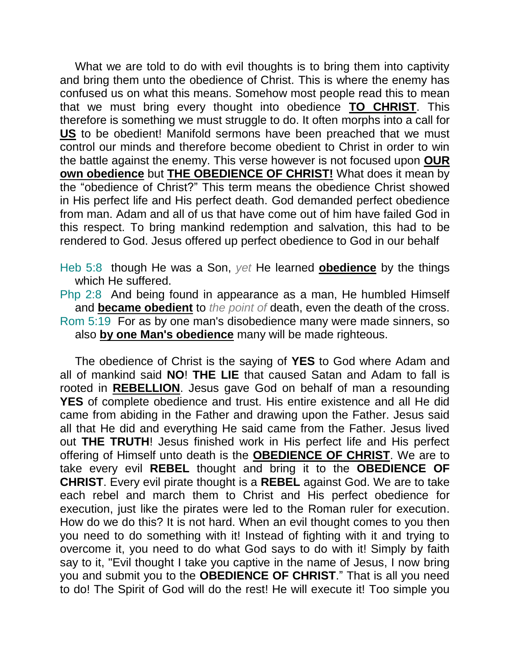What we are told to do with evil thoughts is to bring them into captivity and bring them unto the obedience of Christ. This is where the enemy has confused us on what this means. Somehow most people read this to mean that we must bring every thought into obedience **TO CHRIST**. This therefore is something we must struggle to do. It often morphs into a call for **US** to be obedient! Manifold sermons have been preached that we must control our minds and therefore become obedient to Christ in order to win the battle against the enemy. This verse however is not focused upon **OUR own obedience** but **THE OBEDIENCE OF CHRIST!** What does it mean by the "obedience of Christ?" This term means the obedience Christ showed in His perfect life and His perfect death. God demanded perfect obedience from man. Adam and all of us that have come out of him have failed God in this respect. To bring mankind redemption and salvation, this had to be rendered to God. Jesus offered up perfect obedience to God in our behalf

- Heb 5:8 though He was a Son, *yet* He learned **obedience** by the things which He suffered.
- Php 2:8 And being found in appearance as a man, He humbled Himself and **became obedient** to *the point of* death, even the death of the cross. Rom 5:19 For as by one man's disobedience many were made sinners, so also **by one Man's obedience** many will be made righteous.

The obedience of Christ is the saying of **YES** to God where Adam and all of mankind said **NO**! **THE LIE** that caused Satan and Adam to fall is rooted in **REBELLION**. Jesus gave God on behalf of man a resounding **YES** of complete obedience and trust. His entire existence and all He did came from abiding in the Father and drawing upon the Father. Jesus said all that He did and everything He said came from the Father. Jesus lived out **THE TRUTH**! Jesus finished work in His perfect life and His perfect offering of Himself unto death is the **OBEDIENCE OF CHRIST**. We are to take every evil **REBEL** thought and bring it to the **OBEDIENCE OF CHRIST**. Every evil pirate thought is a **REBEL** against God. We are to take each rebel and march them to Christ and His perfect obedience for execution, just like the pirates were led to the Roman ruler for execution. How do we do this? It is not hard. When an evil thought comes to you then you need to do something with it! Instead of fighting with it and trying to overcome it, you need to do what God says to do with it! Simply by faith say to it, "Evil thought I take you captive in the name of Jesus, I now bring you and submit you to the **OBEDIENCE OF CHRIST**." That is all you need to do! The Spirit of God will do the rest! He will execute it! Too simple you